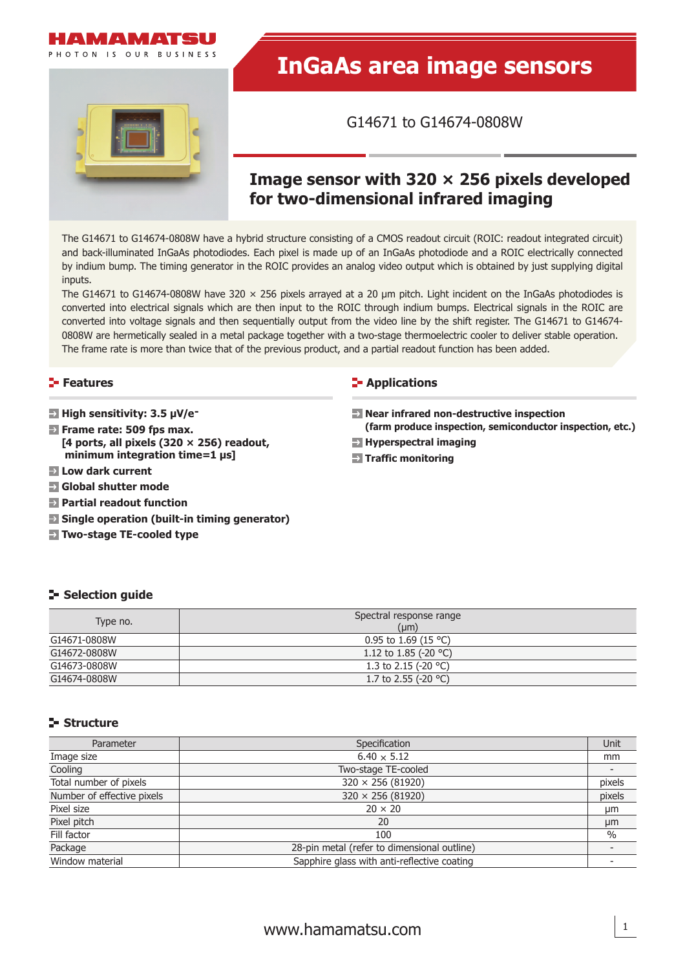

# **InGaAs area image sensors**

G14671 to G14674-0808W

## **Image sensor with 320 × 256 pixels developed for two-dimensional infrared imaging**

The G14671 to G14674-0808W have a hybrid structure consisting of a CMOS readout circuit (ROIC: readout integrated circuit) and back-illuminated InGaAs photodiodes. Each pixel is made up of an InGaAs photodiode and a ROIC electrically connected by indium bump. The timing generator in the ROIC provides an analog video output which is obtained by just supplying digital inputs.

The G14671 to G14674-0808W have 320  $\times$  256 pixels arrayed at a 20 µm pitch. Light incident on the InGaAs photodiodes is converted into electrical signals which are then input to the ROIC through indium bumps. Electrical signals in the ROIC are converted into voltage signals and then sequentially output from the video line by the shift register. The G14671 to G14674- 0808W are hermetically sealed in a metal package together with a two-stage thermoelectric cooler to deliver stable operation. The frame rate is more than twice that of the previous product, and a partial readout function has been added.

## **Features**

- **High sensitivity: 3.5 μV/e-**
- **Frame rate: 509 fps max. [4 ports, all pixels (320 × 256) readout, minimum integration time=1 μs]**
- **Low dark current**
- **Global shutter mode**
- **Partial readout function**
- **E** Single operation (built-in timing generator)
- **Two-stage TE-cooled type**

#### **E**-Applications

- **Near infrared non-destructive inspection ( farm produce inspection, semiconductor inspection, etc.)**
- **Hyperspectral imaging**
- **Traffic monitoring**

## **Selection quide**

| Type no.     | Spectral response range<br>$(\mu m)$ |
|--------------|--------------------------------------|
| G14671-0808W | 0.95 to 1.69 (15 °C)                 |
| G14672-0808W | 1.12 to 1.85 (-20 °C)                |
| G14673-0808W | 1.3 to 2.15 (-20 $^{\circ}$ C)       |
| G14674-0808W | 1.7 to 2.55 (-20 $^{\circ}$ C)       |

#### **Structure**

| Parameter                  | Specification                               | Unit          |
|----------------------------|---------------------------------------------|---------------|
| Image size                 | $6.40 \times 5.12$                          | mm            |
| Cooling                    | Two-stage TE-cooled                         |               |
| Total number of pixels     | $320 \times 256 (81920)$                    | pixels        |
| Number of effective pixels | $320 \times 256 (81920)$                    | pixels        |
| Pixel size                 | $20 \times 20$                              | μm            |
| Pixel pitch                | 20                                          | μm            |
| Fill factor                | 100                                         | $\frac{0}{0}$ |
| Package                    | 28-pin metal (refer to dimensional outline) |               |
| Window material            | Sapphire glass with anti-reflective coating |               |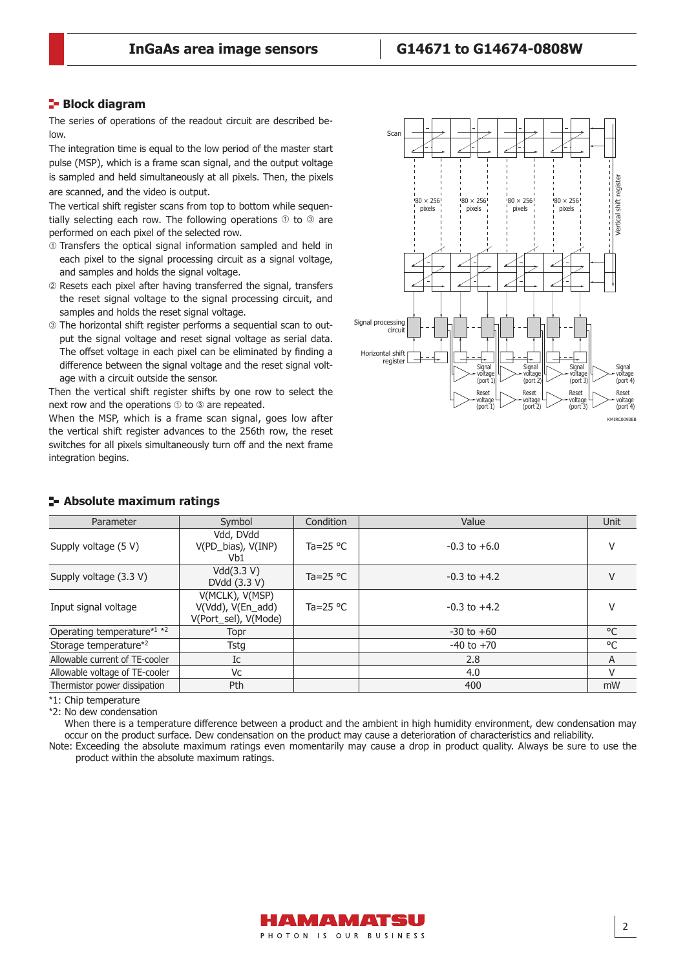#### **Block diagram**

The series of operations of the readout circuit are described below.

The integration time is equal to the low period of the master start pulse (MSP), which is a frame scan signal, and the output voltage is sampled and held simultaneously at all pixels. Then, the pixels are scanned, and the video is output.

The vertical shift register scans from top to bottom while sequentially selecting each row. The following operations  $\odot$  to  $\odot$  are performed on each pixel of the selected row.

- Transfers the optical signal information sampled and held in each pixel to the signal processing circuit as a signal voltage, and samples and holds the signal voltage.
- Resets each pixel after having transferred the signal, transfers the reset signal voltage to the signal processing circuit, and samples and holds the reset signal voltage.
- The horizontal shift register performs a sequential scan to output the signal voltage and reset signal voltage as serial data. The offset voltage in each pixel can be eliminated by finding a difference between the signal voltage and the reset signal voltage with a circuit outside the sensor.

Then the vertical shift register shifts by one row to select the next row and the operations  $\odot$  to  $\odot$  are repeated.

When the MSP, which is a frame scan signal, goes low after the vertical shift register advances to the 256th row, the reset switches for all pixels simultaneously turn off and the next frame integration begins.



| Parameter                                          | Symbol                                                       | Condition         | Value            | <b>Unit</b> |
|----------------------------------------------------|--------------------------------------------------------------|-------------------|------------------|-------------|
| Supply voltage (5 V)                               | Vdd, DVdd<br>V(PD_bias), V(INP)<br>Vb1                       | Ta=25 $\degree$ C | $-0.3$ to $+6.0$ | V           |
| Supply voltage (3.3 V)                             | Vdd(3.3 V)<br>DVdd (3.3 V)                                   | Ta=25 $\degree$ C | $-0.3$ to $+4.2$ | V           |
| Input signal voltage                               | V(MCLK), V(MSP)<br>V(Vdd), V(En_add)<br>V(Port_sel), V(Mode) | Ta=25 $\degree$ C | $-0.3$ to $+4.2$ | V           |
| Operating temperature <sup>*1</sup> * <sup>2</sup> | Topr                                                         |                   | $-30$ to $+60$   | °C          |
| Storage temperature* <sup>2</sup>                  | Tstg                                                         |                   | $-40$ to $+70$   | °C          |
| Allowable current of TE-cooler                     | Ic                                                           |                   | 2.8              | A           |
| Allowable voltage of TE-cooler                     | Vc                                                           |                   | 4.0              | V           |
| Thermistor power dissipation                       | Pth                                                          |                   | 400              | mW          |
|                                                    |                                                              |                   |                  |             |

#### **Absolute maximum ratings**

\*1: Chip temperature

\*2: No dew condensation

When there is a temperature difference between a product and the ambient in high humidity environment, dew condensation may occur on the product surface. Dew condensation on the product may cause a deterioration of characteristics and reliability.

Note: Exceeding the absolute maximum ratings even momentarily may cause a drop in product quality. Always be sure to use the product within the absolute maximum ratings.

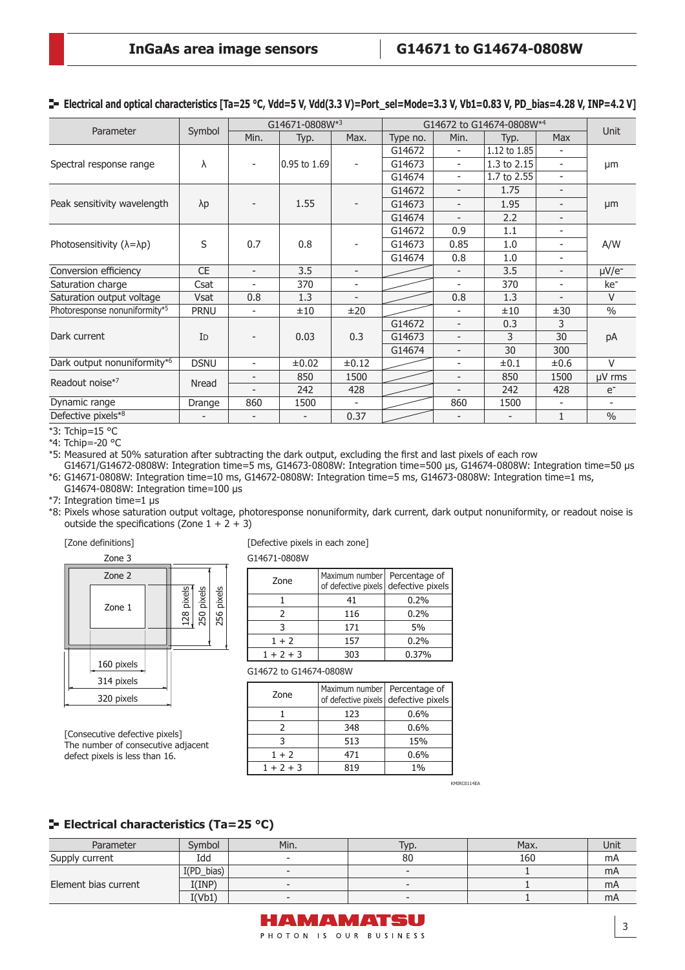G14674 - 30 300

| Parameter                                |             | G14671-0808W*3           |              |                          | G14672 to G14674-0808W*4 |                          |              |                          | <b>Unit</b>     |
|------------------------------------------|-------------|--------------------------|--------------|--------------------------|--------------------------|--------------------------|--------------|--------------------------|-----------------|
|                                          | Symbol      | Min.                     | Typ.         | Max.                     | Type no.                 | Min.                     | Typ.         | <b>Max</b>               |                 |
|                                          |             |                          |              |                          | G14672                   | -                        | 1.12 to 1.85 |                          |                 |
| Spectral response range                  | λ           | $\overline{\phantom{a}}$ | 0.95 to 1.69 | Ξ.                       | G14673                   | -                        | 1.3 to 2.15  | ۰                        | μm              |
|                                          |             |                          |              |                          | G14674                   | -                        | 1.7 to 2.55  | ۰                        |                 |
| Peak sensitivity wavelength              |             |                          |              |                          | G14672                   | $\overline{\phantom{0}}$ | 1.75         | $\overline{\phantom{0}}$ |                 |
|                                          | $\lambda p$ | $\overline{\phantom{a}}$ | 1.55         |                          | G14673                   | $\overline{\phantom{a}}$ | 1.95         |                          | μm              |
|                                          |             |                          |              |                          | G14674                   | $\overline{\phantom{0}}$ | 2.2          |                          |                 |
|                                          | S           |                          | 0.8          |                          | G14672                   | 0.9                      | 1.1          |                          | A/W             |
| Photosensitivity $(\lambda = \lambda p)$ |             | 0.7                      |              |                          | G14673                   | 0.85                     | 1.0          | $\overline{\phantom{0}}$ |                 |
|                                          |             |                          |              |                          | G14674                   | 0.8                      | 1.0          |                          |                 |
| Conversion efficiency                    | <b>CE</b>   | $\overline{\phantom{a}}$ | 3.5          | Ξ.                       |                          | $\overline{\phantom{a}}$ | 3.5          | $\overline{\phantom{0}}$ | $\mu V/e^-$     |
| Saturation charge                        | Csat        |                          | 370          | ۰                        |                          | $\overline{a}$           | 370          |                          | ke <sup>-</sup> |
| Saturation output voltage                | Vsat        | 0.8                      | 1.3          | $\overline{\phantom{a}}$ |                          | 0.8                      | 1.3          | $\overline{\phantom{0}}$ | $\vee$          |
| Photoresponse nonuniformity*5            | <b>PRNU</b> | $\overline{\phantom{a}}$ | ±10          | ±20                      |                          | $\overline{\phantom{a}}$ | ±10          | ±30                      | $\frac{0}{0}$   |
|                                          |             |                          |              |                          | G14672                   | $\overline{\phantom{a}}$ | 0.3          | 3                        |                 |
| Dark current                             | <b>I</b> D  |                          | 0.03         | 0.3                      | G14673                   |                          |              | 30                       | nA              |

#### **Electrical and optical characteristics [Ta=25 °C, Vdd=5 V, Vdd(3.3 V)=Port\_sel=Mode=3.3 V, Vb1=0.83 V, PD\_bias=4.28 V, INP=4.2 V]**

Dark output nonuniformity\*6 DSNU -  $\pm 0.02$   $\pm 0.12$  -  $\pm 0.1$   $\pm 0.1$   $\pm 0.6$  V Readout noise<sup>\*7</sup> Nread - 850 1500 - 850 1500 μV rms - 242 428 - 242 428 e-Dynamic range | Drange | 860 | 1500 | - | 860 | 1500 | -Defective pixels\*8  $-$  - 0.37  $-$  1 %

\*3: Tchip=15 °C

\*4: Tchip=-20 °C

\*5: Measured at 50% saturation after subtracting the dark output, excluding the first and last pixels of each row

G14671/G14672-0808W: Integration time=5 ms, G14673-0808W: Integration time=500 μs, G14674-0808W: Integration time=50 μs \*6: G14671-0808W: Integration time=10 ms, G14672-0808W: Integration time=5 ms, G14673-0808W: Integration time=1 ms,

G14674-0808W: Integration time=100 μs

\*7: Integration time=1 μs

\*8: Pixels whose saturation output voltage, photoresponse nonuniformity, dark current, dark output nonuniformity, or readout noise is outside the specifications (Zone  $1 + 2 + 3$ )

#### [Zone definitions]



[Consecutive defective pixels] The number of consecutive adjacent defect pixels is less than 16.

[Defective pixels in each zone]

G14671-0808W

| Zone        | Maximum number   Percentage of<br>of defective pixels defective pixels |       |
|-------------|------------------------------------------------------------------------|-------|
|             | 41                                                                     | 0.2%  |
| 2           | 116                                                                    | 0.2%  |
|             | 171                                                                    | 5%    |
| $1 + 2$     | 157                                                                    | 0.2%  |
| $1 + 2 + 3$ | 303                                                                    | 0.37% |

G14672 to G14674-0808W

| Zone        | Maximum number   Percentage of | of defective pixels defective pixels |
|-------------|--------------------------------|--------------------------------------|
|             | 123                            | 0.6%                                 |
| 2           | 348                            | 0.6%                                 |
| 3           | 513                            | 15%                                  |
| $1 + 2$     | 471                            | 0.6%                                 |
| $1 + 2 + 3$ | 819                            | 1%                                   |

KMIRC0114EA

#### **ELECTRICAL CHARACTERIST (Ta=25 °C)**

| Parameter            | Svmbol        | Min.                     | Typ.   | Max. | Unit |
|----------------------|---------------|--------------------------|--------|------|------|
| Supply current       | Idd           | $\overline{\phantom{a}}$ | 80     | 160  | mA   |
| Element bias current | $I(PD\_bias)$ | $\overline{\phantom{a}}$ | $\sim$ |      | mA   |
|                      | I(IMP)        | $\sim$                   |        |      | mA   |
|                      | I(Vb1)        | $\overline{\phantom{a}}$ |        |      | mA   |

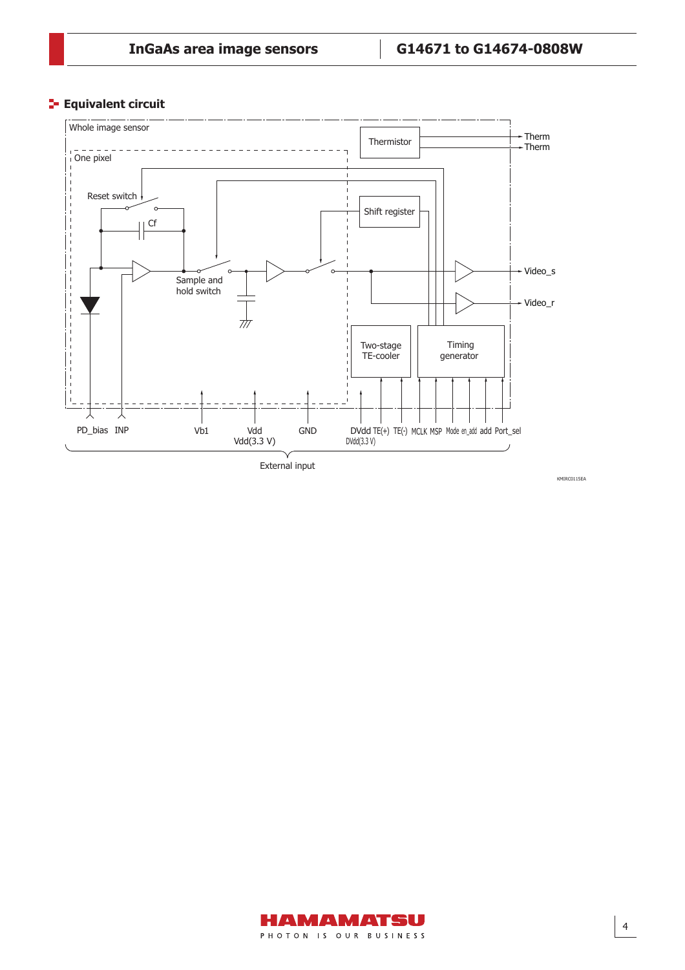#### **Equivalent circuit**





KMIRC0115EA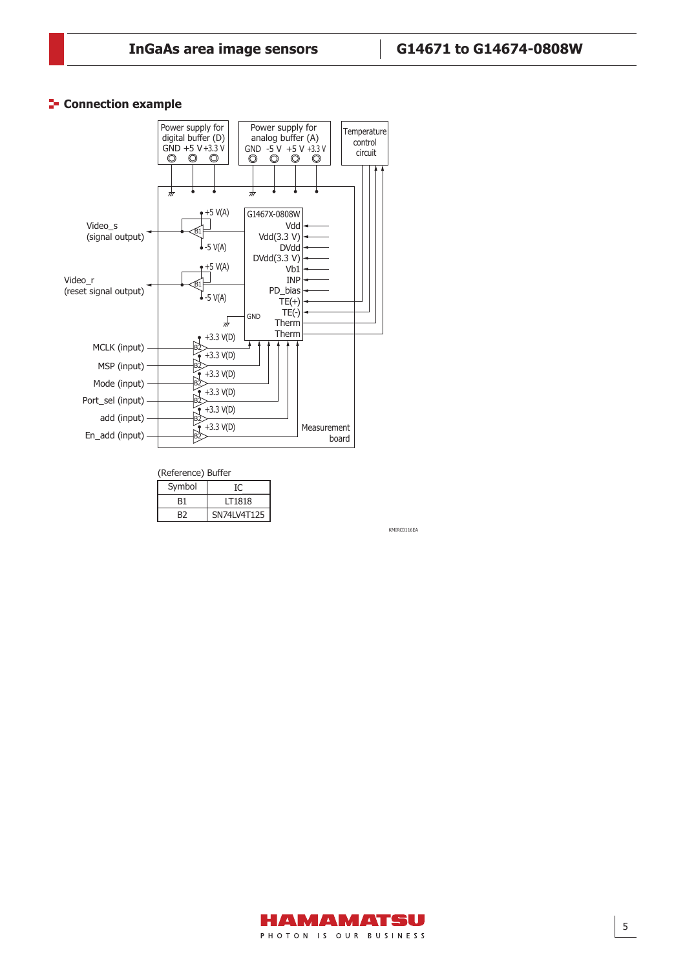### **Connection example**



| (Reference) Buffer |             |  |  |  |
|--------------------|-------------|--|--|--|
| Symbol             | Ю           |  |  |  |
| B1                 | IT1818      |  |  |  |
| R2                 | SN74LV4T125 |  |  |  |

KMIRC0116EA

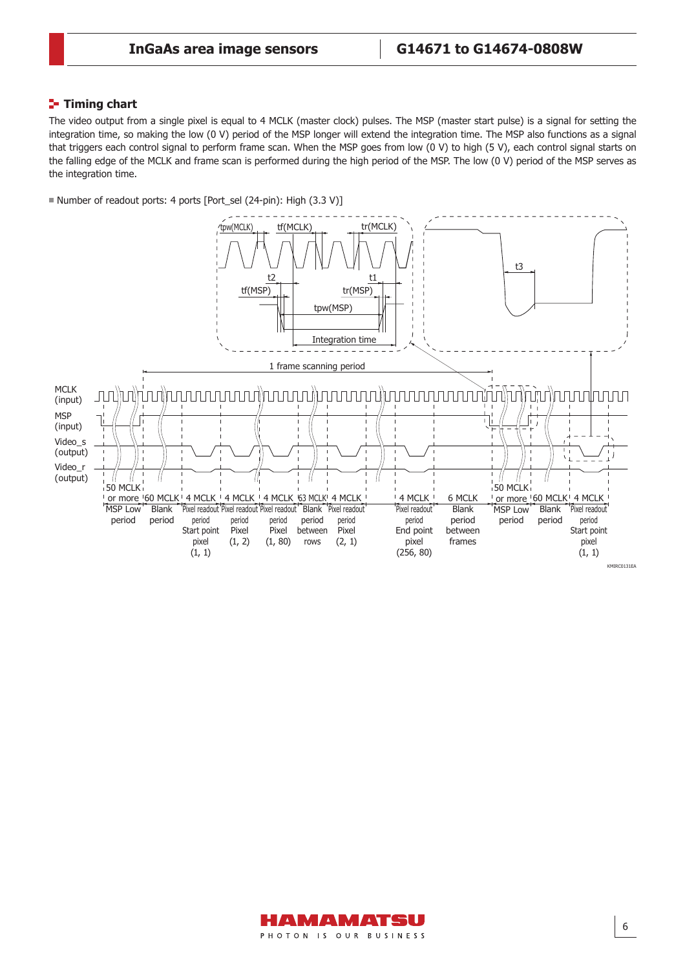### **Timing chart**

The video output from a single pixel is equal to 4 MCLK (master clock) pulses. The MSP (master start pulse) is a signal for setting the integration time, so making the low (0 V) period of the MSP longer will extend the integration time. The MSP also functions as a signal that triggers each control signal to perform frame scan. When the MSP goes from low (0 V) to high (5 V), each control signal starts on the falling edge of the MCLK and frame scan is performed during the high period of the MSP. The low (0 V) period of the MSP serves as the integration time.

■ Number of readout ports: 4 ports [Port\_sel (24-pin): High (3.3 V)]



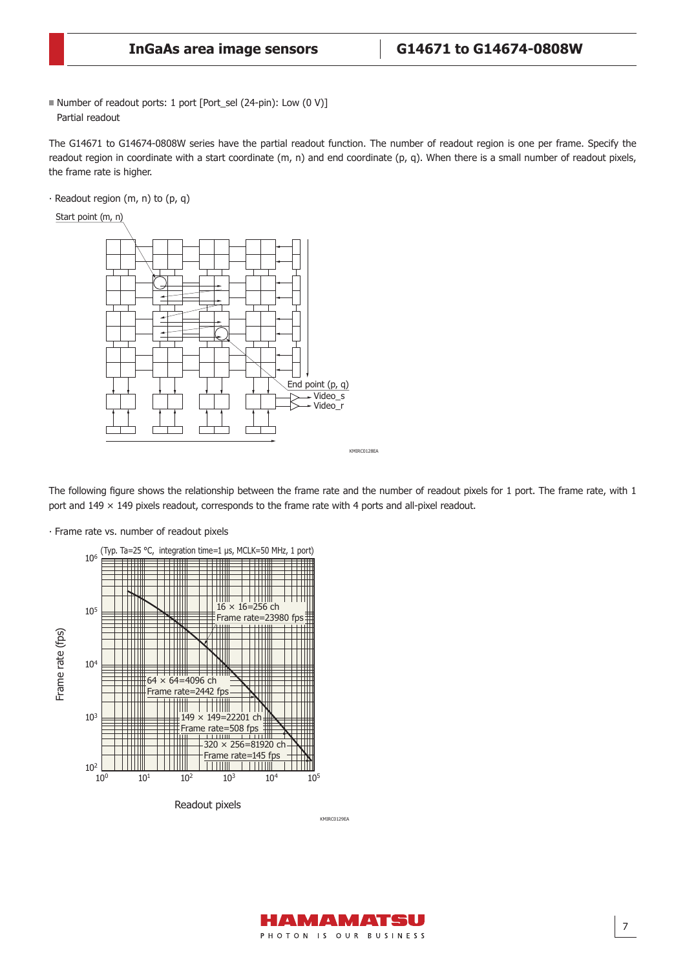■ Number of readout ports: 1 port [Port\_sel (24-pin): Low (0 V)] Partial readout

The G14671 to G14674-0808W series have the partial readout function. The number of readout region is one per frame. Specify the readout region in coordinate with a start coordinate (m, n) and end coordinate (p, q). When there is a small number of readout pixels, the frame rate is higher.

 $\cdot$  Readout region (m, n) to (p, q)



The following figure shows the relationship between the frame rate and the number of readout pixels for 1 port. The frame rate, with 1 port and 149 × 149 pixels readout, corresponds to the frame rate with 4 ports and all-pixel readout.

⸱ Frame rate vs. number of readout pixels



KMIRC0129EA

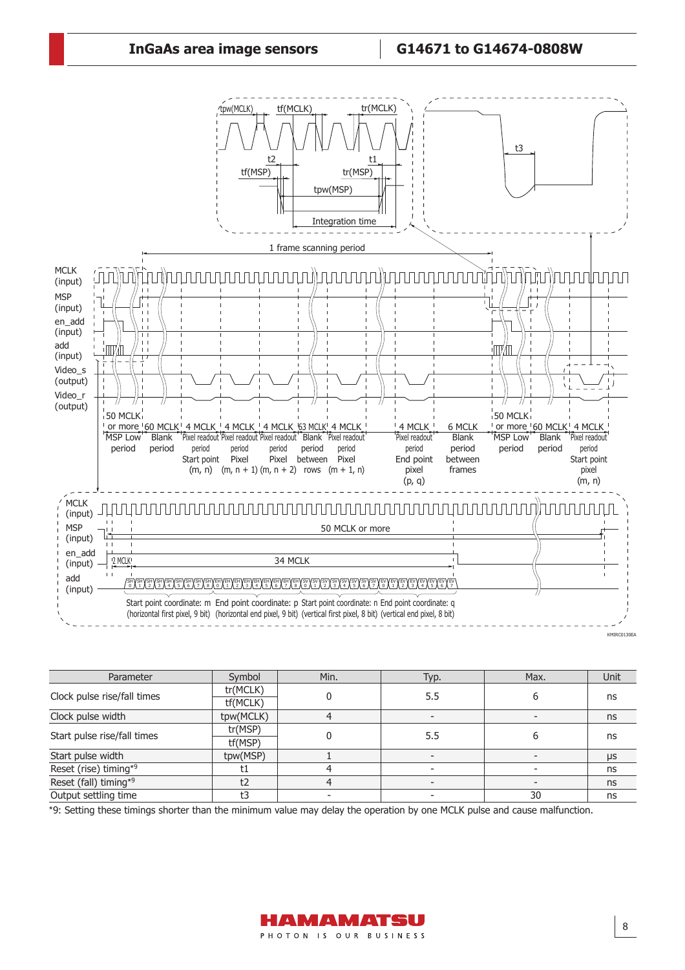## **InGaAs area image sensors G14671 to G14674-0808W**



| Parameter                   | Symbol    | Min. | Typ.                        | Max. | <b>Unit</b> |
|-----------------------------|-----------|------|-----------------------------|------|-------------|
| Clock pulse rise/fall times | tr(MCLK)  |      |                             |      |             |
|                             | tf(MCLK)  |      | 5.5<br>ns<br>b<br>5.5<br>ns |      |             |
| Clock pulse width           | tpw(MCLK) |      |                             |      | ns          |
| Start pulse rise/fall times | tr(MSP)   |      |                             |      |             |
|                             | tf(MSP)   |      |                             |      |             |
| Start pulse width           | tpw(MSP)  |      |                             |      | μs          |
| Reset (rise) timing*9       |           |      |                             |      | ns          |
| Reset (fall) timing*9       | t2        |      |                             |      | ns          |
| Output settling time        | t3        |      |                             | 30   | ns          |

\*9: Setting these timings shorter than the minimum value may delay the operation by one MCLK pulse and cause malfunction.

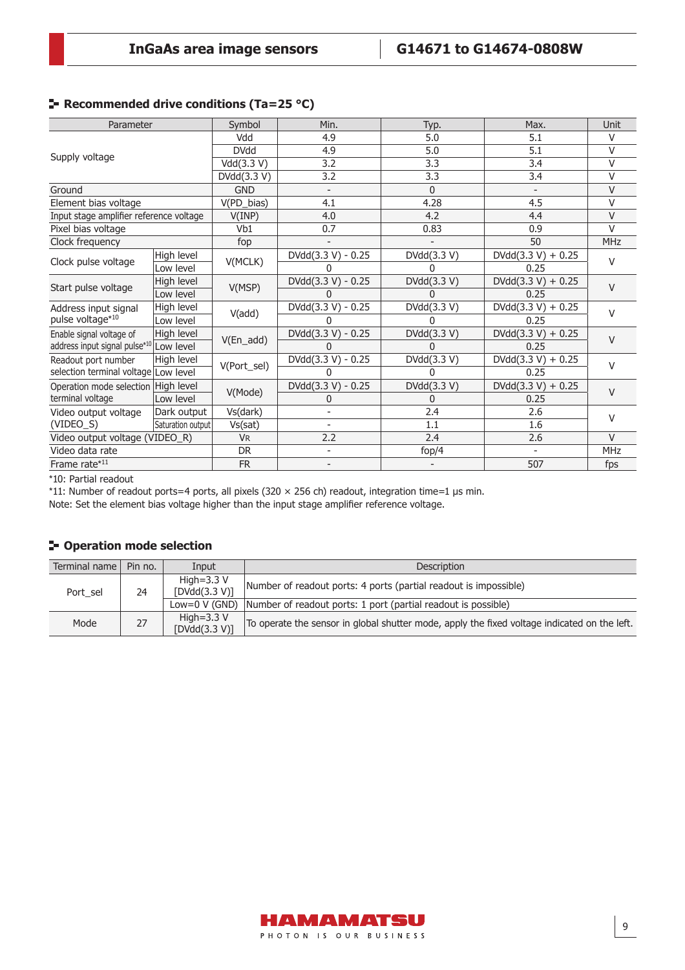## **Recommended drive conditions (Ta=25 °C)**

| Parameter                               |                   | Symbol               | Min.                     | Typ.         | Max.                 | Unit       |
|-----------------------------------------|-------------------|----------------------|--------------------------|--------------|----------------------|------------|
|                                         |                   | Vdd                  | 4.9                      | 5.0          | 5.1                  | V          |
| Supply voltage                          |                   | <b>DVdd</b>          | 4.9                      | 5.0          | 5.1                  | V          |
|                                         |                   | Vdd(3.3 V)           | 3.2                      | 3.3          | 3.4                  | V          |
|                                         |                   | DVdd(3.3 V)          | 3.2                      | 3.3          | 3.4                  | V          |
| Ground                                  |                   | <b>GND</b>           | $\overline{\phantom{a}}$ | $\Omega$     |                      | V          |
| Element bias voltage                    |                   | V(PD_bias)           | 4.1                      | 4.28         | 4.5                  | V          |
| Input stage amplifier reference voltage |                   | V(IMP)               | 4.0                      | 4.2          | 4.4                  | V          |
| Pixel bias voltage                      |                   | V <sub>b1</sub>      | 0.7                      | 0.83         | 0.9                  | V          |
| Clock frequency                         |                   | fop                  |                          |              | 50                   | MHz        |
|                                         | High level        | V(MCLK)              | DVdd(3.3 V) - 0.25       | DVdd(3.3 V)  | $DVdd(3.3 V) + 0.25$ | V          |
| Clock pulse voltage                     | Low level         |                      | <sup>0</sup>             | 0            | 0.25                 |            |
|                                         | High level        | V(MSP)               | DVdd(3.3 V) - 0.25       | DVdd(3.3 V)  | $DVdd(3.3 V) + 0.25$ | V          |
| Start pulse voltage                     | Low level         |                      | N                        | U            | 0.25                 |            |
| Address input signal                    | High level        | V(add)               | DVdd(3.3 V) - 0.25       | DVdd(3.3 V)  | $DVdd(3.3 V) + 0.25$ | V          |
| pulse voltage*10                        | Low level         |                      | U                        | n            | 0.25                 |            |
| Enable signal voltage of                | High level        |                      | DVdd(3.3 V) - 0.25       | DVdd(3.3 V)  | $DVdd(3.3 V) + 0.25$ | $\vee$     |
| address input signal pulse*10           | Low level         | $V(En\_add)$         | <sup>0</sup>             | U            | 0.25                 |            |
| Readout port number                     | High level        | V(Port_sel)          | DVdd(3.3 V) - 0.25       | DVdd(3.3 V)  | $DVdd(3.3 V) + 0.25$ | $\vee$     |
| selection terminal voltage Low level    |                   |                      | O                        | <sup>0</sup> | 0.25                 |            |
| Operation mode selection High level     |                   | V(Mode)              | DVdd(3.3 V) - 0.25       | DVdd(3.3 V)  | $DVdd(3.3 V) + 0.25$ | $\vee$     |
| terminal voltage                        | Low level         |                      | 0                        | 0            | 0.25                 |            |
| Video output voltage                    | Dark output       | Vs(dark)             |                          | 2.4          | 2.6                  | V          |
| (VIDEO_S)                               | Saturation output | Vs(sat)              |                          | 1.1          | 1.6                  |            |
| Video output voltage (VIDEO_R)          |                   | <b>V<sub>R</sub></b> | 2.2                      | 2.4          | 2.6                  | $\vee$     |
| Video data rate                         |                   | <b>DR</b>            | $\overline{\phantom{0}}$ | fop/4        |                      | <b>MHz</b> |
| Frame rate*11                           |                   | <b>FR</b>            | $\overline{\phantom{a}}$ |              | 507                  | fps        |

\*10: Partial readout

\*11: Number of readout ports=4 ports, all pixels (320 × 256 ch) readout, integration time=1 μs min.

Note: Set the element bias voltage higher than the input stage amplifier reference voltage.

## **Operation mode selection**

| Terminal name   | Pin no. | Input                              | <b>Description</b>                                                                           |
|-----------------|---------|------------------------------------|----------------------------------------------------------------------------------------------|
| Port sel        | 24      | High= $3.3$ V<br>[DVdd(3.3 V)]     | Number of readout ports: 4 ports (partial readout is impossible)                             |
| Low=0 $V$ (GND) |         |                                    | Number of readout ports: 1 port (partial readout is possible)                                |
| Mode            | 27      | High= $3.3$ V<br>[ $DVdd(3.3 V)$ ] | To operate the sensor in global shutter mode, apply the fixed voltage indicated on the left. |

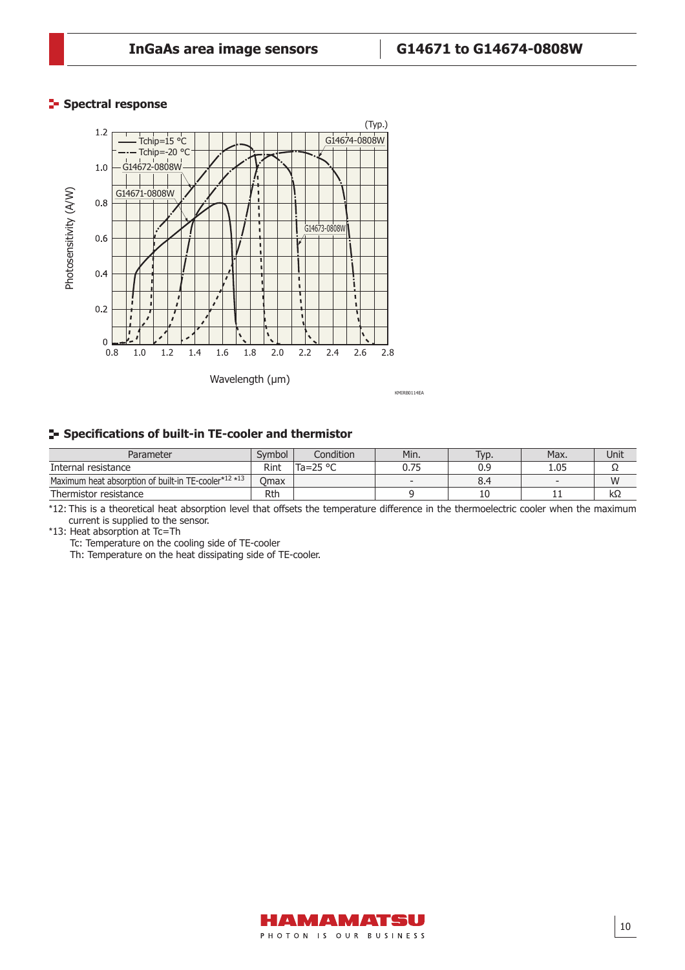## **Spectral response**



#### **Specifi cations of built-in TE-cooler and thermistor**

| Parameter                                            | Svmbol | Condition | Min. | Typ. | Max. | Unit |
|------------------------------------------------------|--------|-----------|------|------|------|------|
| Internal resistance                                  | Rint   | lTa=25 °C | 0.75 | 0.9  | 1.05 | --   |
| Maximum heat absorption of built-in TE-cooler*12 *13 | Omax   |           |      | 8.4  |      | W    |
| Thermistor resistance                                | Rth    |           |      | 10   | . .  | kΩ   |

\*12: This is a theoretical heat absorption level that offsets the temperature difference in the thermoelectric cooler when the maximum current is supplied to the sensor.

\*13: Heat absorption at Tc=Th

Tc: Temperature on the cooling side of TE-cooler

Th: Temperature on the heat dissipating side of TE-cooler.

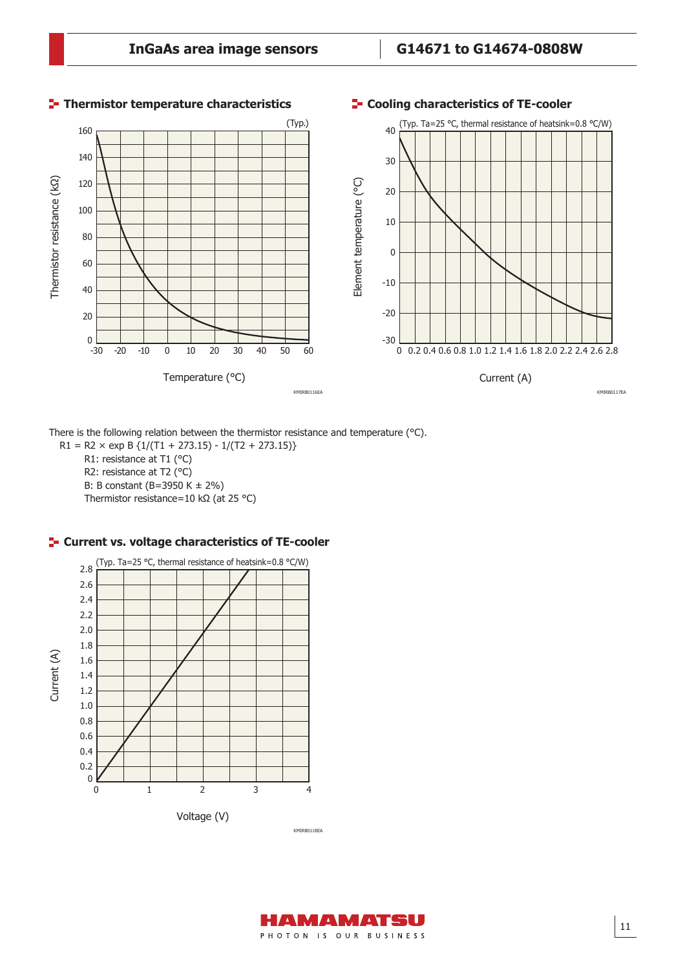

**Thermistor temperature characteristics**

#### **Cooling characteristics of TE-cooler**

There is the following relation between the thermistor resistance and temperature (°C).

 $R1 = R2 \times exp B \{1/(T1 + 273.15) - 1/(T2 + 273.15)\}$ R1: resistance at T1 (°C) R2: resistance at T2 (°C) B: B constant (B=3950 K ± 2%) Thermistor resistance=10 kΩ (at 25 °C)

#### **F** Current vs. voltage characteristics of TE-cooler



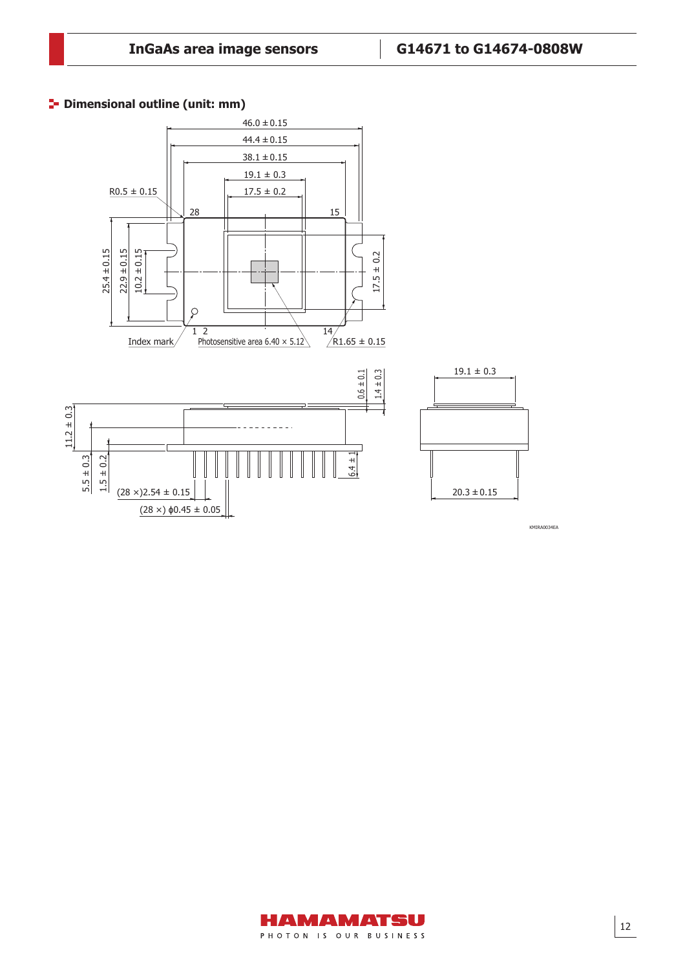### **<sup>1</sup>** Dimensional outline (unit: mm)



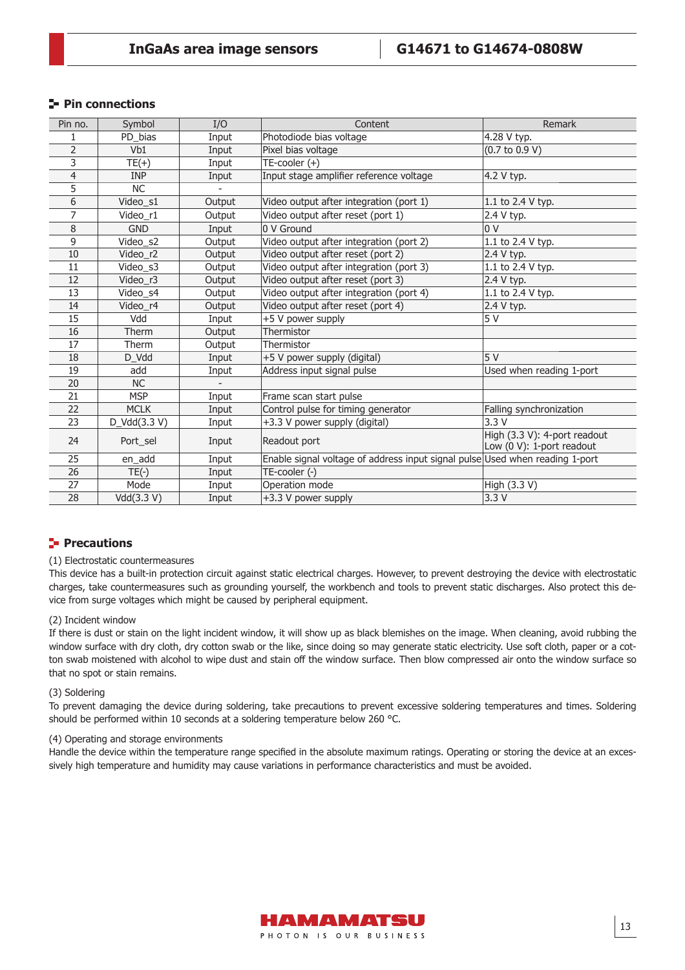## **Pin connections**

| Pin no.        | Symbol       | I/O            | Content                                                                      | Remark                                                    |
|----------------|--------------|----------------|------------------------------------------------------------------------------|-----------------------------------------------------------|
| 1              | PD_bias      | Input          | Photodiode bias voltage                                                      | 4.28 V typ.                                               |
| $\overline{2}$ | Vb1          | Input          | Pixel bias voltage                                                           | $(0.7 \text{ to } 0.9 \text{ V})$                         |
| 3              | $TE(+)$      | Input          | $TE$ -cooler $(+)$                                                           |                                                           |
| $\overline{4}$ | <b>INP</b>   | Input          | Input stage amplifier reference voltage                                      | 4.2 V typ.                                                |
| $\overline{5}$ | <b>NC</b>    |                |                                                                              |                                                           |
| 6              | Video_s1     | Output         | Video output after integration (port 1)                                      | 1.1 to 2.4 V typ.                                         |
| 7              | Video_r1     | Output         | Video output after reset (port 1)                                            | 2.4 V typ.                                                |
| 8              | <b>GND</b>   | Input          | 0 V Ground                                                                   | 0 <sup>0</sup>                                            |
| 9              | Video_s2     | Output         | Video output after integration (port 2)                                      | 1.1 to 2.4 V typ.                                         |
| 10             | Video_r2     | Output         | Video output after reset (port 2)                                            | 2.4 V typ.                                                |
| 11             | Video_s3     | Output         | Video output after integration (port 3)                                      | 1.1 to 2.4 V typ.                                         |
| 12             | Video r3     | Output         | Video output after reset (port 3)                                            | 2.4 V typ.                                                |
| 13             | Video s4     | Output         | Video output after integration (port 4)                                      | 1.1 to 2.4 V typ.                                         |
| 14             | Video r4     | Output         | Video output after reset (port 4)                                            | 2.4 V typ.                                                |
| 15             | Vdd          | Input          | +5 V power supply                                                            | 5 V                                                       |
| 16             | Therm        | Output         | Thermistor                                                                   |                                                           |
| 17             | Therm        | Output         | Thermistor                                                                   |                                                           |
| 18             | D_Vdd        | Input          | +5 V power supply (digital)                                                  | 5V                                                        |
| 19             | add          | Input          | Address input signal pulse                                                   | Used when reading 1-port                                  |
| 20             | <b>NC</b>    | $\overline{a}$ |                                                                              |                                                           |
| 21             | <b>MSP</b>   | Input          | Frame scan start pulse                                                       |                                                           |
| 22             | <b>MCLK</b>  | Input          | Control pulse for timing generator                                           | Falling synchronization                                   |
| 23             | D_Vdd(3.3 V) | Input          | +3.3 V power supply (digital)                                                | 3.3V                                                      |
| 24             | Port_sel     | Input          | Readout port                                                                 | High (3.3 V): 4-port readout<br>Low (0 V): 1-port readout |
| 25             | en_add       | Input          | Enable signal voltage of address input signal pulse Used when reading 1-port |                                                           |
| 26             | $TE(-)$      | Input          | TE-cooler (-)                                                                |                                                           |
| 27             | Mode         | Input          | Operation mode                                                               | High (3.3 V)                                              |
| 28             | Vdd(3.3 V)   | Input          | +3.3 V power supply                                                          | 3.3V                                                      |

#### **Precautions**

#### (1) Electrostatic countermeasures

This device has a built-in protection circuit against static electrical charges. However, to prevent destroying the device with electrostatic charges, take countermeasures such as grounding yourself, the workbench and tools to prevent static discharges. Also protect this device from surge voltages which might be caused by peripheral equipment.

#### (2) Incident window

If there is dust or stain on the light incident window, it will show up as black blemishes on the image. When cleaning, avoid rubbing the window surface with dry cloth, dry cotton swab or the like, since doing so may generate static electricity. Use soft cloth, paper or a cotton swab moistened with alcohol to wipe dust and stain off the window surface. Then blow compressed air onto the window surface so that no spot or stain remains.

#### (3) Soldering

To prevent damaging the device during soldering, take precautions to prevent excessive soldering temperatures and times. Soldering should be performed within 10 seconds at a soldering temperature below 260 °C.

#### (4) Operating and storage environments

Handle the device within the temperature range specified in the absolute maximum ratings. Operating or storing the device at an excessively high temperature and humidity may cause variations in performance characteristics and must be avoided.